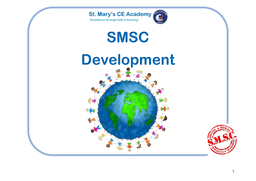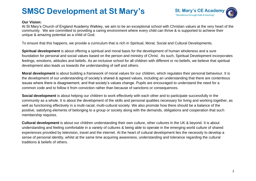## **SMSC Development at St Mary's**



## **Our Vision:**

At St Mary's Church of England Academy Walkley, we aim to be an exceptional school with Christian values at the very heart of the community. We are committed to providing a caring environment where every child can thrive & is supported to achieve their unique & amazing potential as a child of God.

To ensure that this happens, we provide a curriculum that is rich in Spiritual, Moral, Social and Cultural Developments.

**Spiritual development** is about offering a spiritual and moral basis for the development of human wholeness and a sure foundation for personal and social values based on the person and ministry of Christ. As such, Spiritual Development incorporates feelings, emotions, attitudes and beliefs. As an inclusive school for all children with different or no beliefs, we believe that spiritual development also leads us towards the understanding of self and others.

**Moral development** is about building a framework of moral values for our children, which regulates their personal behaviour. It is the development of our understanding of society's shared & agreed values, including an understanding that there are contentious issues where there is disagreement, and that society's values change. Pupils are encouraged to understand the need for a common code and to follow it from conviction rather than because of sanctions or consequences.

**Social development** is about helping our children to work effectively with each other and to participate successfully in the community as a whole. It is about the development of the skills and personal qualities necessary for living and working together, as well as functioning effectively in a multi-racial, multi-cultural society. We also promote how there should be a balance of the positive, satisfying elements of belonging to a group or society along with the demands, obligations and cooperation that such membership requires.

**Cultural development** is about our children understanding their own culture, other cultures in the UK & beyond. It is about understanding and feeling comfortable in a variety of cultures & being able to operate in the emerging world culture of shared experiences provided by television, travel and the internet. At the heart of cultural development lies the necessity to develop a sense of personal identity, whilst at the same time acquiring awareness, understanding and tolerance regarding the cultural traditions & beliefs of others.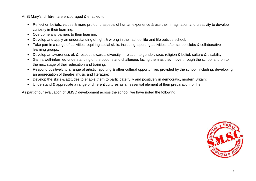At St Mary's, children are encouraged & enabled to:

- Reflect on beliefs, values & more profound aspects of human experience & use their imagination and creativity to develop curiosity in their learning;
- Overcome any barriers to their learning;
- Develop and apply an understanding of right & wrong in their school life and life outside school;
- Take part in a range of activities requiring social skills, including: sporting activities, after school clubs & collaborative learning groups;
- Develop an awareness of, & respect towards, diversity in relation to gender, race, religion & belief, culture & disability;
- Gain a well-informed understanding of the options and challenges facing them as they move through the school and on to the next stage of their education and training;
- Respond positively to a range of artistic, sporting & other cultural opportunities provided by the school, including: developing an appreciation of theatre, music and literature;
- Develop the skills & attitudes to enable them to participate fully and positively in democratic, modern Britain;
- Understand & appreciate a range of different cultures as an essential element of their preparation for life.

As part of our evaluation of SMSC development across the school, we have noted the following:

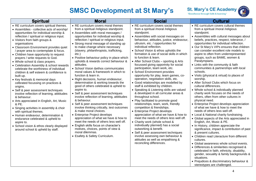

## **SMSC Development at St Mary's**

| <b>Spiritual</b>                                                                                                                                                                                                                                                                                                                                                                                                                                                                                                                                                                                                                                                                                                                                                                                                                                                                                                                                                                                                                                                                 | <b>Moral</b>                                                                                                                                                                                                                                                                                                                                                                                                                                                                                                                                                                                                                                                                                                                                                                                                                                                                                                                                                                                                                                                                                                                                                                 | <b>Social</b>                                                                                                                                                                                                                                                                                                                                                                                                                                                                                                                                                                                                                                                                                                                                                                                                                                                                                                                                                                                                                                                                                                                                                                                                                                                       | <b>Cultural</b>                                                                                                                                                                                                                                                                                                                                                                                                                                                                                                                                                                                                                                                                                                                                                                                                                                                                                                                                                                                                                                                                                                                                                                                                                                                                                                                                                                                                                                                                         |
|----------------------------------------------------------------------------------------------------------------------------------------------------------------------------------------------------------------------------------------------------------------------------------------------------------------------------------------------------------------------------------------------------------------------------------------------------------------------------------------------------------------------------------------------------------------------------------------------------------------------------------------------------------------------------------------------------------------------------------------------------------------------------------------------------------------------------------------------------------------------------------------------------------------------------------------------------------------------------------------------------------------------------------------------------------------------------------|------------------------------------------------------------------------------------------------------------------------------------------------------------------------------------------------------------------------------------------------------------------------------------------------------------------------------------------------------------------------------------------------------------------------------------------------------------------------------------------------------------------------------------------------------------------------------------------------------------------------------------------------------------------------------------------------------------------------------------------------------------------------------------------------------------------------------------------------------------------------------------------------------------------------------------------------------------------------------------------------------------------------------------------------------------------------------------------------------------------------------------------------------------------------------|---------------------------------------------------------------------------------------------------------------------------------------------------------------------------------------------------------------------------------------------------------------------------------------------------------------------------------------------------------------------------------------------------------------------------------------------------------------------------------------------------------------------------------------------------------------------------------------------------------------------------------------------------------------------------------------------------------------------------------------------------------------------------------------------------------------------------------------------------------------------------------------------------------------------------------------------------------------------------------------------------------------------------------------------------------------------------------------------------------------------------------------------------------------------------------------------------------------------------------------------------------------------|-----------------------------------------------------------------------------------------------------------------------------------------------------------------------------------------------------------------------------------------------------------------------------------------------------------------------------------------------------------------------------------------------------------------------------------------------------------------------------------------------------------------------------------------------------------------------------------------------------------------------------------------------------------------------------------------------------------------------------------------------------------------------------------------------------------------------------------------------------------------------------------------------------------------------------------------------------------------------------------------------------------------------------------------------------------------------------------------------------------------------------------------------------------------------------------------------------------------------------------------------------------------------------------------------------------------------------------------------------------------------------------------------------------------------------------------------------------------------------------------|
| • RE curriculum covers spiritual themes.<br>• Assemblies - collective acts of worship/<br>opportunities for individual worship &<br>reflection / spiritual or religious input.<br>• Visitors from faith groups &<br>organisations<br>• Classroom Environment provides quiet<br>/ prayer area to contemplate & focus.<br>• Children have opportunity to request<br>prayers / write requests to God.<br>• Whole school & class prayers.<br>• Celebration Assembly & school rewards<br>celebrate the worthiness of individual<br>children & self esteem & confidence is<br>built up.<br>• Key festivals & memorial days<br>celbrated focussing on practices &<br>origins.<br>• Self & peer assessment techniques<br>involve reflection of learning, attititudes<br>& behavour.<br>• Arts appreciated in English, Art, Music<br>& PE.<br>• Singing activities in assembly & choir<br>with spiritual themes.<br>• Human endeavour, determination &<br>endurance celebrated & upheld to<br>aspire to.<br>• School vision & ethos clearly displayed<br>around school & upheld by staff. | • RE curriculum covers moral themes<br>from a spiritual /religious standpoint.<br>• Assemblies with moral messages /<br>opportunities for individual worship &<br>reflection / spiritual or religious input.<br>• Strong moral message of standing up<br>to make change where necessary<br>(slavery, philanthropists, trafficking,<br>$etc.$ )<br>• Positive behaviour policy in place which<br>upholds & rewards correct behaviour &<br>attitudes.<br>• School Vision & ethos communicates<br>moral values & framework in which to<br>function & learn in.<br>• Right decisions, human endeavour,<br>determination & working towards the<br>good of others celebrated & upheld to<br>aspire to.<br>• Self & peer assessment techniques<br>involve reflection of learning, attititudes<br>& behavour.<br>• Self & peer assessment techniques<br>involve thinking critically, test outcomes<br>& make moral choices.<br>• Enterprise Project develops<br>appreciation of what we have & how to<br>meet the needs of others less well off.<br>• English skills focus on character's<br>motives, choices, points of view &<br>moral dilemmas.<br>• Esafety & Safety Curriculum. | • RE curriculum covers social themes<br>from a spiritual /moral /religious<br>standpoint.<br>• Assemblies with social messages on<br>behaviour, attitudes, justice, endeavour,<br>ultruism, etc. / opportunities for<br>individual reflection.<br>• School Vision & ethos upholds the<br>formation & use of social skills in which<br>to function & learn.<br>• After School Clubs - sporting & Arts<br>focussed giving opportnity for social<br>participation, team work, etc.<br>• School Environment provides<br>opportunity for play, team games, co-<br>operation, negotiation skills, etc.<br>• Good relationships are modelled by<br>staff & exhibited by children.<br>• Speaking & Listening skills are valued<br>& developed in all curricular areas &<br>throughout school.<br>• Play facilitated to promote good<br>relationships, team, work, friendly<br>competition & friendships.<br>• Enterprise Project develops<br>appreciation of what we have & how to<br>meet the needs of others less well off.<br>• Charity work (whole school &<br>individually planned) has a social<br>outworking & benefit.<br>• Self & peer assessment techniques<br>involve assessing own behaviour &<br>attitudes as well as empathisng &<br>reconciling differences. | • RE curriculum covers cultural themes<br>from a spiritual /moral /religious<br>standpoint.<br>• Assemblies with cultural messages about<br>beliefs, practices, respect, tolerance, /<br>opportunities for individual reflection.<br>• Our St Mary's VIPs ensures that children<br>can consider excellent role models to<br>aspire to often from underrepresented<br>groups, such as BAME, women &<br>Paralympians.<br>• Links with the community & faith<br>communities & partnerships with local<br>schools.<br>• Visits (physical & virtual) to places of<br>worship.<br>• After School Clubs which focus on<br>cultural differences.<br>• Whole school & individually planned<br>charity work focuses on the needs of<br>others, often from other cultures in<br>physical need.<br>• Enterprise Project develops appreciation<br>of what we have & how to meet the<br>needs of others less well off.<br>• Local & National charity fundraising.<br>• Global aspects of the Arts appreciated in<br>English, Art, Music & PE.<br>• In History, children appreciate the<br>significance, impact & contribution of past<br>& present cultures.<br>• Children read Literacture from different<br>cultures.<br>• Global awareness whole school events.<br>• Differences & similarities recognised &<br>celebrated in faith, ethnicity, disability,<br>gender, sexuality & family backgrounds &<br>situations.<br>• Prejudices & discriminatory behaviour &<br>stereotypes are challenged. |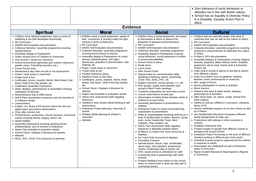|                                                                                                                                                                                                                                                                                                                                                                                                                                                                                                                                                                                                                                                                                                                                                                                                                                                                                                                                                                                                                                                                                                                                                                                                                                                                                                                                                                                                                                                                                                                                        |                                                                                                                                                                                                                                                                                                                                                                                                                                                                                                                                                                                                                                                                                                                                                                                                                                                                                                                                                                                                                                     |                                                                                                                                                                                                                                                                                                                                                                                                                                                                                                                                                                                                                                                                                                                                                                                                                                                                                                                                                                                                                                                                                                                                                                                                                                                                                                                                                                                                                                                                                                                                                                                                                                                                                                                                                                                                                            | • Zero tolerance of racist behaviour or<br>attitudes not in line with British values.<br>• School has an Equality & Diversity Policy<br>& a Disability, Equality Action Plan in<br>place.                                                                                                                                                                                                                                                                                                                                                                                                                                                                                                                                                                                                                                                                                                                                                                                                                                                                                                                                                                                                                                                                                                                                                                                                                                                                                                                                                                                                                                                                                                                                                                                    |  |  |  |
|----------------------------------------------------------------------------------------------------------------------------------------------------------------------------------------------------------------------------------------------------------------------------------------------------------------------------------------------------------------------------------------------------------------------------------------------------------------------------------------------------------------------------------------------------------------------------------------------------------------------------------------------------------------------------------------------------------------------------------------------------------------------------------------------------------------------------------------------------------------------------------------------------------------------------------------------------------------------------------------------------------------------------------------------------------------------------------------------------------------------------------------------------------------------------------------------------------------------------------------------------------------------------------------------------------------------------------------------------------------------------------------------------------------------------------------------------------------------------------------------------------------------------------------|-------------------------------------------------------------------------------------------------------------------------------------------------------------------------------------------------------------------------------------------------------------------------------------------------------------------------------------------------------------------------------------------------------------------------------------------------------------------------------------------------------------------------------------------------------------------------------------------------------------------------------------------------------------------------------------------------------------------------------------------------------------------------------------------------------------------------------------------------------------------------------------------------------------------------------------------------------------------------------------------------------------------------------------|----------------------------------------------------------------------------------------------------------------------------------------------------------------------------------------------------------------------------------------------------------------------------------------------------------------------------------------------------------------------------------------------------------------------------------------------------------------------------------------------------------------------------------------------------------------------------------------------------------------------------------------------------------------------------------------------------------------------------------------------------------------------------------------------------------------------------------------------------------------------------------------------------------------------------------------------------------------------------------------------------------------------------------------------------------------------------------------------------------------------------------------------------------------------------------------------------------------------------------------------------------------------------------------------------------------------------------------------------------------------------------------------------------------------------------------------------------------------------------------------------------------------------------------------------------------------------------------------------------------------------------------------------------------------------------------------------------------------------------------------------------------------------------------------------------------------------|------------------------------------------------------------------------------------------------------------------------------------------------------------------------------------------------------------------------------------------------------------------------------------------------------------------------------------------------------------------------------------------------------------------------------------------------------------------------------------------------------------------------------------------------------------------------------------------------------------------------------------------------------------------------------------------------------------------------------------------------------------------------------------------------------------------------------------------------------------------------------------------------------------------------------------------------------------------------------------------------------------------------------------------------------------------------------------------------------------------------------------------------------------------------------------------------------------------------------------------------------------------------------------------------------------------------------------------------------------------------------------------------------------------------------------------------------------------------------------------------------------------------------------------------------------------------------------------------------------------------------------------------------------------------------------------------------------------------------------------------------------------------------|--|--|--|
| <b>Evidence</b>                                                                                                                                                                                                                                                                                                                                                                                                                                                                                                                                                                                                                                                                                                                                                                                                                                                                                                                                                                                                                                                                                                                                                                                                                                                                                                                                                                                                                                                                                                                        |                                                                                                                                                                                                                                                                                                                                                                                                                                                                                                                                                                                                                                                                                                                                                                                                                                                                                                                                                                                                                                     |                                                                                                                                                                                                                                                                                                                                                                                                                                                                                                                                                                                                                                                                                                                                                                                                                                                                                                                                                                                                                                                                                                                                                                                                                                                                                                                                                                                                                                                                                                                                                                                                                                                                                                                                                                                                                            |                                                                                                                                                                                                                                                                                                                                                                                                                                                                                                                                                                                                                                                                                                                                                                                                                                                                                                                                                                                                                                                                                                                                                                                                                                                                                                                                                                                                                                                                                                                                                                                                                                                                                                                                                                              |  |  |  |
| <b>Spiritual</b>                                                                                                                                                                                                                                                                                                                                                                                                                                                                                                                                                                                                                                                                                                                                                                                                                                                                                                                                                                                                                                                                                                                                                                                                                                                                                                                                                                                                                                                                                                                       | <b>Moral</b>                                                                                                                                                                                                                                                                                                                                                                                                                                                                                                                                                                                                                                                                                                                                                                                                                                                                                                                                                                                                                        | <b>Social</b>                                                                                                                                                                                                                                                                                                                                                                                                                                                                                                                                                                                                                                                                                                                                                                                                                                                                                                                                                                                                                                                                                                                                                                                                                                                                                                                                                                                                                                                                                                                                                                                                                                                                                                                                                                                                              | <b>Cultural</b>                                                                                                                                                                                                                                                                                                                                                                                                                                                                                                                                                                                                                                                                                                                                                                                                                                                                                                                                                                                                                                                                                                                                                                                                                                                                                                                                                                                                                                                                                                                                                                                                                                                                                                                                                              |  |  |  |
| • Children show spiritual awareness, have a sense of<br>wellbeing & are well developed emotionally<br>• RE Curriculum<br>• SIAMS Self Evaluation documentation<br>• Collective Worship / assembly programme covering<br>spiritial themes<br>• Assembly display & Powerpoints<br>• Visitor records from HT Reports to Governors<br>• Visit records / virtual tour resources<br>• School environment (generally plus outdoor classroom,<br>graden areas, Friendship benches, etc.)<br>• Forest School area<br>• Residential & day visits records & risk assessment<br>• Prayer / quiet areas in classroom<br>• Prayer book & box<br>• Certificates, prizes, rewards, Merits, Merit Board, Star<br>Book, Child of the Day boards, etc.<br>• Celebration Assembly Powerpoint<br>• Work, displays, performances & assemblies showing<br>celebration of festivals<br>• Remembrance Day & WWI events<br>• Self & Peer assessment resources used by teachers &<br>in children's books<br>• Learnometers<br>• English, Art, Music & PE lessons where the Arts are<br>appreciated, plus lesson observations<br>• Choir after schoiol club<br>• Performances, productions, church services, community<br>events involving drama, singing, dance, etc.<br>• Sports display<br>• Assembly powerpoints involving sporting heroes,<br>philanthropists, acts of heroism & endeavour<br>• Aspire Day timetable & evaluation sheets<br>• School Vision / displays & literature for parents<br>• Website<br>• SEAL, P4C, Circle Time resources & planning | • Children show a moral awareness, speak of<br>their conscience & (mostly) make the right<br>choices in terms of behaviour.<br>• RE Curriculum<br>• SIAMS Self Evaluation documentation<br>• Collective Worship / assembly programme<br>covering moral themes & lessons<br>• Assembly display & Powerpoints on mraol<br>themes, philanthropists, civil rights,<br>democracy, prejudice & discrimination, anti-<br>bullying, etc.<br>• Prayer / quiet areas in classroom<br>• Prayer book & box<br>• Positive behaviour policy<br>• Rainbow Rules & clas rules<br>• Certificates, prizes, rewards, Merits, Merit<br>Board, Star Book, Child of the Day boards,<br>etc.<br>• School Vision / displays & literature for<br>parents<br>• Aspire Day timetable & evaluation sheets<br>• Self & Peer assessment skills regading<br>behaviour<br>• Children's work shows critical thinking & self<br>assessment.<br>• Enterprise Project planning, outcomes &<br>events.<br>• ESafety Week planning & children's<br>outcomes.<br>• Website | • Children show a social awareness, are aware<br>of themselves & others & observe the<br>etiquettes of pleasant social behaviour.<br>• RE Curriculum<br>• SIAMS Self Evaluation documentation<br>• Collective Worship / assembly programme<br>• Assembly display & Powerpoints covering<br>social behaviour, social awareness of others<br>& social responsibilities.<br>• School Vision & ethos.<br>• Break times.<br>• Lunch times<br>• After School Clubs<br>• Opportunities for communication skills,<br>speaking & listening, drama, presenting,<br>Circle Time, SEAL, P4C, etc.<br>• Support sessions, nurture groups, 1:1, etc.<br>• Peer groups, buddy work between year<br>groups & Merit Team meetings.<br>• Transition preparation for secondary school.<br>• Lesson observations & write ups.<br>• Observation of relationships between adults &<br>children & to each other.<br>• Assembly participation & presentations by<br>children.<br>• Enterprise Project & charity event planning,<br>organisation & presentation.<br>• Roles & responsibilities involving working as a<br>team & feeding back to others: lessons, group<br>work, Junior Leadership Team, Merit<br>Captains, Play Leaders, etc.<br>• Self & Peer assessment skills regading<br>behaviour & attituides towards others.<br>• St Mary's is a Bully Free Zone resources &<br>displays.<br>• No Touch Rule resources & displays.<br>• Friendship Charters.<br>· Special events: discos, trips, residentials,<br>sports days, mini-olympics, productions,<br>charity / fundraising days & events, etc.<br>• CPD, social events & celbrations for staff.<br>• Community links & partnerships with other<br>schools.<br>• Positive feedback from visitors to the school,<br>when on school visits & when we take part in<br>community events. | • Children that are culturally aware, that value &<br>celebrate their own as well as the culture of others.<br>• RE Curriculum<br>• SIAMS Self Evaluation documentation<br>• Collective Worship / assembly programme covering<br>historical & cultural themes & celebrates the culture<br>of others<br>• St Mary's VIPs documentation<br>• Assembly displays & Powerpoints covering religious<br>festivals, prejudice, Black History month, disability<br>awareness, aid & need, charity work & Enterprise<br>Project, etc.<br>• Visits (real & virtual) to places of worship & visitors<br>from different cultures.<br>• Visits to & visitors from art galleries, theatres,<br>libraries, music performances & museums.<br>• MFL taught (French).<br>• Sports participation in events & activities.<br>• Music lessons<br>· Global & Arts days & week events, displays,<br>performances & activities.<br>• After shool clubs, art, dance, songs, drama from<br>other cultures<br>• Variety of cultures refleted in Curriculum, Literature,<br>Music & PE.<br>• History celebrates aspects of our own culture as well<br>as of others.<br>• Sex Relationship Education recognises different<br>family backgrounds & make ups.<br>• Productions with settings in other countries &<br>cultures.<br>• Disability Awareness Day<br>• Positive images of people from different cutures &<br>backigrounds around school.<br>• Enterprise Project fociussing on the work of different<br>charities working in different part of the world.<br>• Individual & group projects organised by the children<br>in response to neeas.<br>• Stereotypes are challenged as part of behaviour<br>policy & curriculum.<br>• Racist Incident Records & Head teacher's Reports<br>to Governors. |  |  |  |